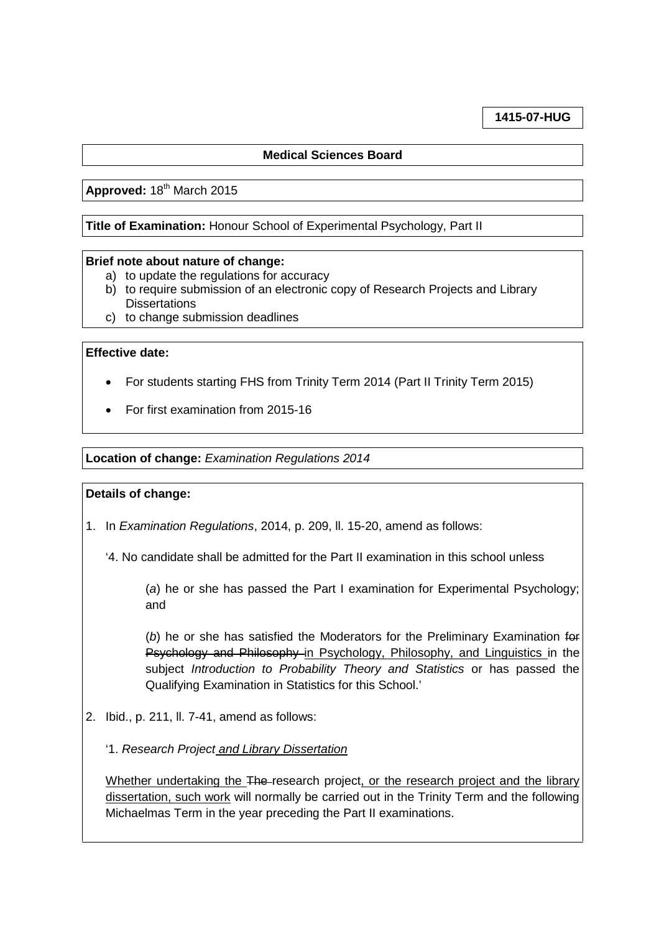## **1415-07-HUG**

# **Medical Sciences Board**

# Approved: 18<sup>th</sup> March 2015

### **Title of Examination:** Honour School of Experimental Psychology, Part II

#### **Brief note about nature of change:**

- a) to update the regulations for accuracy
- b) to require submission of an electronic copy of Research Projects and Library **Dissertations**
- c) to change submission deadlines

## **Effective date:**

- For students starting FHS from Trinity Term 2014 (Part II Trinity Term 2015)
- For first examination from 2015-16

#### **Location of change:** *Examination Regulations 2014*

#### **Details of change:**

- 1. In *Examination Regulations*, 2014, p. 209, ll. 15-20, amend as follows:
	- '4. No candidate shall be admitted for the Part II examination in this school unless

(*a*) he or she has passed the Part I examination for Experimental Psychology; and

(*b*) he or she has satisfied the Moderators for the Preliminary Examination for Psychology and Philosophy in Psychology, Philosophy, and Linguistics in the subject *Introduction to Probability Theory and Statistics* or has passed the Qualifying Examination in Statistics for this School.'

- 2. Ibid., p. 211, ll. 7-41, amend as follows:
	- '1. *Research Project and Library Dissertation*

Whether undertaking the The-research project, or the research project and the library dissertation, such work will normally be carried out in the Trinity Term and the following Michaelmas Term in the year preceding the Part II examinations.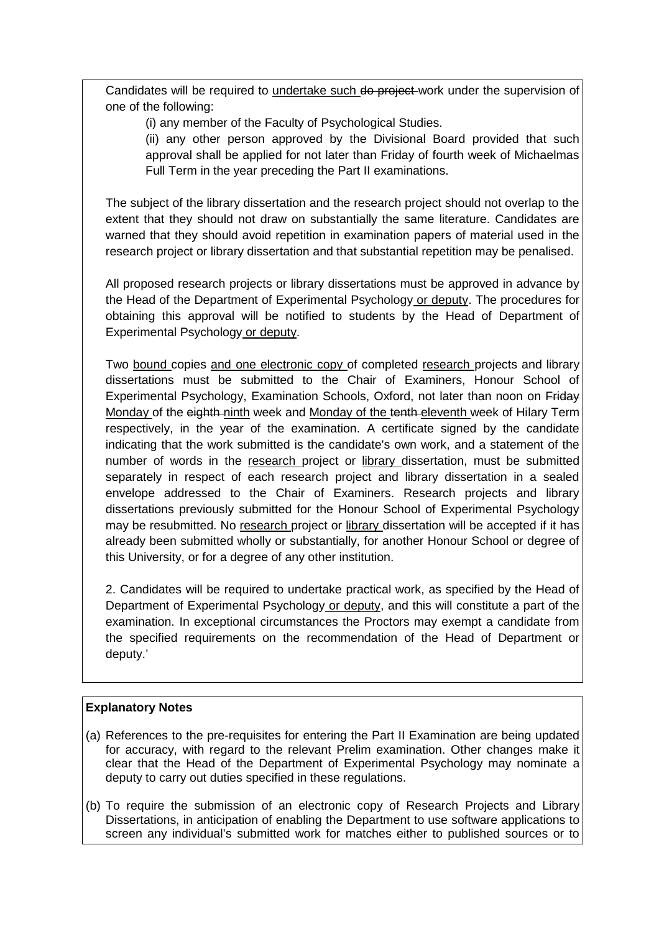Candidates will be required to undertake such do project work under the supervision of one of the following:

(i) any member of the Faculty of Psychological Studies.

(ii) any other person approved by the Divisional Board provided that such approval shall be applied for not later than Friday of fourth week of Michaelmas Full Term in the year preceding the Part II examinations.

The subject of the library dissertation and the research project should not overlap to the extent that they should not draw on substantially the same literature. Candidates are warned that they should avoid repetition in examination papers of material used in the research project or library dissertation and that substantial repetition may be penalised.

All proposed research projects or library dissertations must be approved in advance by the Head of the Department of Experimental Psychology or deputy. The procedures for obtaining this approval will be notified to students by the Head of Department of Experimental Psychology or deputy.

Two bound copies and one electronic copy of completed research projects and library dissertations must be submitted to the Chair of Examiners, Honour School of Experimental Psychology, Examination Schools, Oxford, not later than noon on Friday Monday of the eighth-ninth week and Monday of the tenth-eleventh week of Hilary Term respectively, in the year of the examination. A certificate signed by the candidate indicating that the work submitted is the candidate's own work, and a statement of the number of words in the research project or library dissertation, must be submitted separately in respect of each research project and library dissertation in a sealed envelope addressed to the Chair of Examiners. Research projects and library dissertations previously submitted for the Honour School of Experimental Psychology may be resubmitted. No research project or library dissertation will be accepted if it has already been submitted wholly or substantially, for another Honour School or degree of this University, or for a degree of any other institution.

2. Candidates will be required to undertake practical work, as specified by the Head of Department of Experimental Psychology or deputy, and this will constitute a part of the examination. In exceptional circumstances the Proctors may exempt a candidate from the specified requirements on the recommendation of the Head of Department or deputy.'

## **Explanatory Notes**

- (a) References to the pre-requisites for entering the Part II Examination are being updated for accuracy, with regard to the relevant Prelim examination. Other changes make it clear that the Head of the Department of Experimental Psychology may nominate a deputy to carry out duties specified in these regulations.
- (b) To require the submission of an electronic copy of Research Projects and Library Dissertations, in anticipation of enabling the Department to use software applications to screen any individual's submitted work for matches either to published sources or to